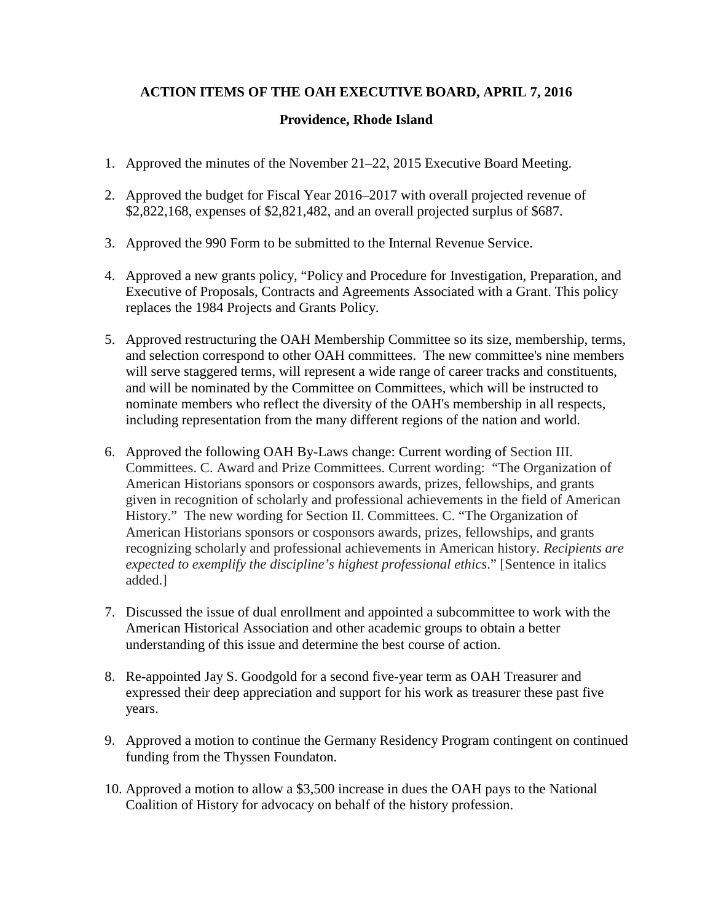## **ACTION ITEMS OF THE OAH EXECUTIVE BOARD, APRIL 7, 2016**

## **Providence, Rhode Island**

- 1. Approved the minutes of the November 21–22, 2015 Executive Board Meeting.
- 2. Approved the budget for Fiscal Year 2016–2017 with overall projected revenue of \$2,822,168, expenses of \$2,821,482, and an overall projected surplus of \$687.
- 3. Approved the 990 Form to be submitted to the Internal Revenue Service.
- 4. Approved a new grants policy, "Policy and Procedure for Investigation, Preparation, and Executive of Proposals, Contracts and Agreements Associated with a Grant. This policy replaces the 1984 Projects and Grants Policy.
- 5. Approved restructuring the OAH Membership Committee so its size, membership, terms, and selection correspond to other OAH committees. The new committee's nine members will serve staggered terms, will represent a wide range of career tracks and constituents, and will be nominated by the Committee on Committees, which will be instructed to nominate members who reflect the diversity of the OAH's membership in all respects, including representation from the many different regions of the nation and world.
- 6. Approved the following OAH By-Laws change: Current wording of Section III. Committees. C. Award and Prize Committees. Current wording: "The Organization of American Historians sponsors or cosponsors awards, prizes, fellowships, and grants given in recognition of scholarly and professional achievements in the field of American History." The new wording for Section II. Committees. C. "The Organization of American Historians sponsors or cosponsors awards, prizes, fellowships, and grants recognizing scholarly and professional achievements in American history. *Recipients are expected to exemplify the discipline's highest professional ethics*." [Sentence in italics added.]
- 7. Discussed the issue of dual enrollment and appointed a subcommittee to work with the American Historical Association and other academic groups to obtain a better understanding of this issue and determine the best course of action.
- 8. Re-appointed Jay S. Goodgold for a second five-year term as OAH Treasurer and expressed their deep appreciation and support for his work as treasurer these past five years.
- 9. Approved a motion to continue the Germany Residency Program contingent on continued funding from the Thyssen Foundaton.
- 10. Approved a motion to allow a \$3,500 increase in dues the OAH pays to the National Coalition of History for advocacy on behalf of the history profession.